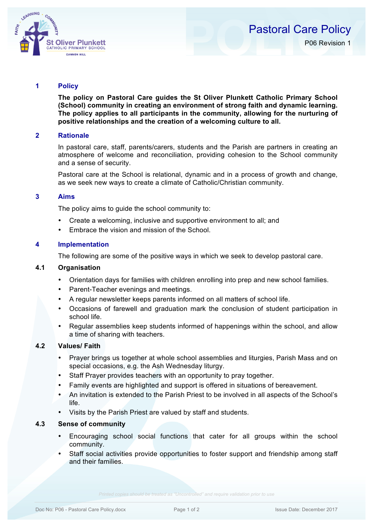

# **1 Policy**

**The policy on Pastoral Care guides the St Oliver Plunkett Catholic Primary School (School) community in creating an environment of strong faith and dynamic learning. The policy applies to all participants in the community, allowing for the nurturing of positive relationships and the creation of a welcoming culture to all.**

#### **2 Rationale**

In pastoral care, staff, parents/carers, students and the Parish are partners in creating an atmosphere of welcome and reconciliation, providing cohesion to the School community and a sense of security.

Pastoral care at the School is relational, dynamic and in a process of growth and change, as we seek new ways to create a climate of Catholic/Christian community.

### **3 Aims**

The policy aims to guide the school community to:

- Create a welcoming, inclusive and supportive environment to all; and
- Embrace the vision and mission of the School.

### **4 Implementation**

The following are some of the positive ways in which we seek to develop pastoral care.

### **4.1 Organisation**

- Orientation days for families with children enrolling into prep and new school families.
- Parent-Teacher evenings and meetings.
- A regular newsletter keeps parents informed on all matters of school life.
- Occasions of farewell and graduation mark the conclusion of student participation in school life.
- Regular assemblies keep students informed of happenings within the school, and allow a time of sharing with teachers.

#### **4.2 Values/ Faith**

- Prayer brings us together at whole school assemblies and liturgies, Parish Mass and on special occasions, e.g. the Ash Wednesday liturgy.
- Staff Prayer provides teachers with an opportunity to pray together.
- Family events are highlighted and support is offered in situations of bereavement.
- An invitation is extended to the Parish Priest to be involved in all aspects of the School's life.
- Visits by the Parish Priest are valued by staff and students.

### **4.3 Sense of community**

- Encouraging school social functions that cater for all groups within the school community.
- Staff social activities provide opportunities to foster support and friendship among staff and their families.

*Printed copies should be treated as "Uncontrolled" and require validation prior to use*